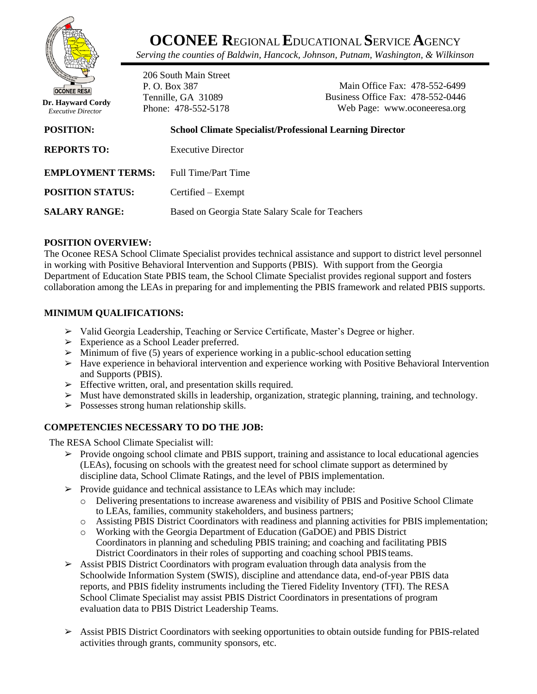

**OCONEE R**EGIONAL**E**DUCATIONAL **S**ERVICE**A**GENCY

*Serving the counties of Baldwin, Hancock, Johnson, Putnam, Washington, & Wilkinson*

**Dr. Hayward Cordy**  *Executive Director*

206 South Main Street P. O. Box 387 Tennille, GA 31089 Phone: 478-552-5178

Main Office Fax: 478-552-6499 Business Office Fax: 478-552-0446 Web Page: www.oconeeresa.org

| <b>POSITION:</b>         | <b>School Climate Specialist/Professional Learning Director</b> |
|--------------------------|-----------------------------------------------------------------|
| <b>REPORTS TO:</b>       | <b>Executive Director</b>                                       |
| <b>EMPLOYMENT TERMS:</b> | Full Time/Part Time                                             |
| <b>POSITION STATUS:</b>  | Certified – Exempt                                              |
| <b>SALARY RANGE:</b>     | Based on Georgia State Salary Scale for Teachers                |

# **POSITION OVERVIEW:**

The Oconee RESA School Climate Specialist provides technical assistance and support to district level personnel in working with Positive Behavioral Intervention and Supports (PBIS). With support from the Georgia Department of Education State PBIS team, the School Climate Specialist provides regional support and fosters collaboration among the LEAs in preparing for and implementing the PBIS framework and related PBIS supports.

# **MINIMUM QUALIFICATIONS:**

- ➢ Valid Georgia Leadership, Teaching or Service Certificate, Master's Degree or higher.
- ➢ Experience as a School Leader preferred.
- $\geq$  Minimum of five (5) years of experience working in a public-school education setting
- $\triangleright$  Have experience in behavioral intervention and experience working with Positive Behavioral Intervention and Supports (PBIS).
- $\triangleright$  Effective written, oral, and presentation skills required.
- ➢ Must have demonstrated skills in leadership, organization, strategic planning, training, and technology.
- $\triangleright$  Possesses strong human relationship skills.

# **COMPETENCIES NECESSARY TO DO THE JOB:**

The RESA School Climate Specialist will:

- $\triangleright$  Provide ongoing school climate and PBIS support, training and assistance to local educational agencies (LEAs), focusing on schools with the greatest need for school climate support as determined by discipline data, School Climate Ratings, and the level of PBIS implementation.
- $\triangleright$  Provide guidance and technical assistance to LEAs which may include:
	- o Delivering presentations to increase awareness and visibility of PBIS and Positive School Climate to LEAs, families, community stakeholders, and business partners;
	- o Assisting PBIS District Coordinators with readiness and planning activities for PBIS implementation;
	- o Working with the Georgia Department of Education (GaDOE) and PBIS District Coordinators in planning and scheduling PBIS training; and coaching and facilitating PBIS District Coordinators in their roles of supporting and coaching school PBIS teams.
- ➢ Assist PBIS District Coordinators with program evaluation through data analysis from the Schoolwide Information System (SWIS), discipline and attendance data, end-of-year PBIS data reports, and PBIS fidelity instruments including the Tiered Fidelity Inventory (TFI). The RESA School Climate Specialist may assist PBIS District Coordinators in presentations of program evaluation data to PBIS District Leadership Teams.
- ➢ Assist PBIS District Coordinators with seeking opportunities to obtain outside funding for PBIS-related activities through grants, community sponsors, etc.